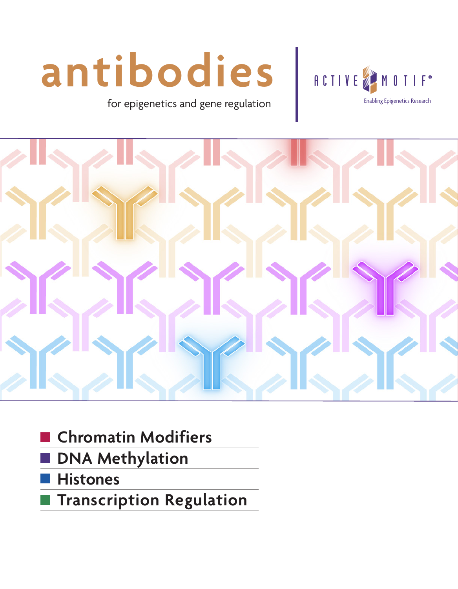# **antibodies**

for epigenetics and gene regulation **Enable Research** [Enabling Epigenetics Research](http://www.activemotif.com/)





- **Chromatin Modifiers**
- **DNA Methylation**
- **Histones**
- **Transcription Regulation**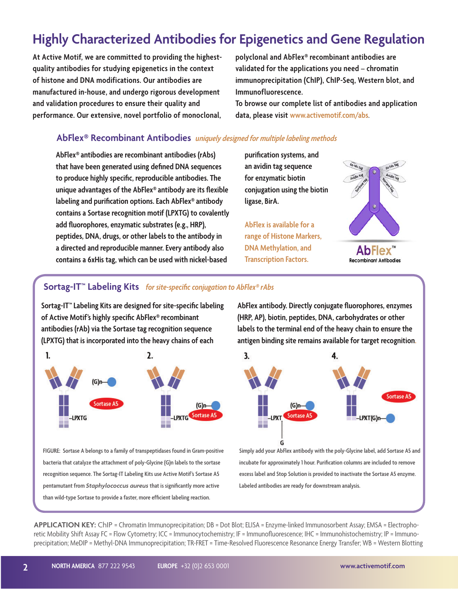#### **Highly Characterized Antibodies for Epigenetics and Gene Regulation**

**At Active Motif, we are committed to providing the highestquality antibodies for studying epigenetics in the context of histone and DNA modifications. Our antibodies are manufactured in-house, and undergo rigorous development and validation procedures to ensure their quality and performance. Our extensive, novel portfolio of monoclonal,**  **polyclonal and AbFlex® recombinant antibodies are validated for the applications you need – chromatin immunoprecipitation (ChIP), ChIP-Seq, Western blot, and Immunofluorescence.** 

**To browse our complete list of antibodies and application data, please visit www.activemotif.com/abs**.

#### **AbFlex® Recombinant Antibodies** *uniquely designed for multiple labeling methods*

**AbFlex® antibodies are recombinant antibodies (rAbs) that have been generated using defined DNA sequences to produce highly specific, reproducible antibodies. The unique advantages of the AbFlex® antibody are its flexible labeling and purification options. Each AbFlex® antibody contains a Sortase recognition motif (LPXTG) to covalently add fluorophores, enzymatic substrates (e.g., HRP), peptides, DNA, drugs, or other labels to the antibody in a directed and reproducible manner. Every antibody also contains a 6xHis tag, which can be used with nickel-based** 

**purification systems, and an avidin tag sequence for enzymatic biotin conjugation using the biotin ligase, BirA.**

**AbFlex is available for a range of Histone Markers, DNA Methylation, and Transcription Factors.** 



#### AbFlex **Recombinant Antibodies**

#### **Sortag-IT™ Labeling Kits** *for site-specific conjugation to AbFlex® rAbs*

**Sortag-IT™ Labeling Kits are designed for site-specific labeling of Active Motif's highly specific AbFlex® recombinant antibodies (rAb) via the Sortase tag recognition sequence (LPXTG) that is incorporated into the heavy chains of each** 



**FIGURE: Sortase A belongs to a family of transpeptidases found in Gram-positive bacteria that catalyze the attachment of poly-Glycine (G)n labels to the sortase recognition sequence. The Sortag-IT Labeling Kits use Active Motif's Sortase A5 pentamutant from** *Staphylococcus aureus* **that is significantly more active than wild-type Sortase to provide a faster, more efficient labeling reaction.** 

**AbFlex antibody. Directly conjugate fluorophores, enzymes (HRP, AP), biotin, peptides, DNA, carbohydrates or other labels to the terminal end of the heavy chain to ensure the antigen binding site remains available for target recognition.**



**Simply add your AbFlex antibody with the poly-Glycine label, add Sortase A5 and incubate for approximately 1 hour. Purification columns are included to remove excess label and Stop Solution is provided to inactivate the Sortase A5 enzyme. Labeled antibodies are ready for downstream analysis.** 

**APPLICATION KEY:** ChIP = Chromatin Immunoprecipitation; DB = Dot Blot; ELISA = Enzyme-linked Immunosorbent Assay; EMSA = Electrophoretic Mobility Shift Assay FC = Flow Cytometry; ICC = Immunocytochemistry; IF = Immunofluorescence; IHC = Immunohistochemistry; IP = Immunoprecipitation; MeDIP = Methyl-DNA Immunoprecipitation; TR-FRET = Time-Resolved Fluorescence Resonance Energy Transfer; WB = Western Blotting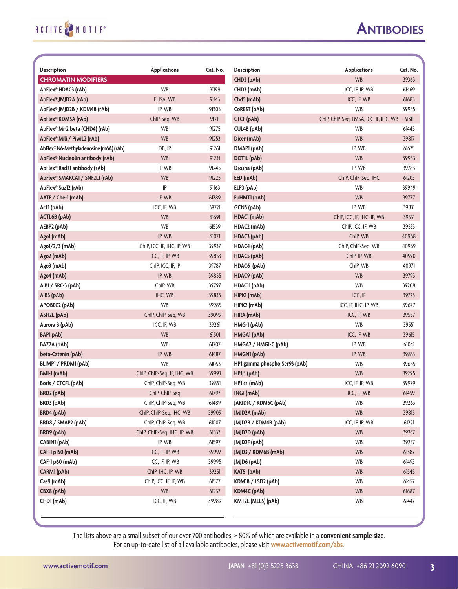| <b>Description</b>                     | <b>Applications</b>         | Cat. No. | <b>Description</b>            | <b>Applications</b>                    | Cat. No. |
|----------------------------------------|-----------------------------|----------|-------------------------------|----------------------------------------|----------|
| <b>CHROMATIN MODIFIERS</b>             |                             |          | CHD2 (pAb)                    | <b>WB</b>                              | 39363    |
| AbFlex® HDAC3 (rAb)                    | <b>WB</b>                   | 91199    | CHD3 (mAb)                    | ICC, IF, IP, WB                        | 61469    |
| AbFlex® JMJD2A (rAb)                   | ELISA, WB                   | 91143    | Chd5 (mAb)                    | ICC, IF, WB                            | 61683    |
| AbFlex® JMJD2B / KDM4B (rAb)           | IP, WB                      | 91305    | CoREST (pAb)                  | <b>WB</b>                              | 39955    |
| AbFlex® KDM5A (rAb)                    | ChIP-Seq, WB                | 91211    | <b>CTCF (pAb)</b>             | ChIP, ChIP-Seq, EMSA, ICC, IF, IHC, WB | 61311    |
| AbFlex® Mi-2 beta (CHD4) (rAb)         | WB                          | 91275    | CUL4B (pAb)                   | WB                                     | 61445    |
| AbFlex® Mili / PiwiL2 (rAb)            | <b>WB</b>                   | 91253    | Dicer (mAb)                   | <b>WB</b>                              | 39817    |
| AbFlex® N6-Methyladenosine (m6A) (rAb) | DB, IP                      | 91261    | DMAP1 (pAb)                   | IP, WB                                 | 61675    |
| AbFlex® Nucleolin antibody (rAb)       | WB                          | 91231    | DOTIL (pAb)                   | WB                                     | 39953    |
| AbFlex® Rad21 antibody (rAb)           | IF, WB                      | 91245    | Drosha (pAb)                  | IP, WB                                 | 39783    |
| AbFlex® SMARCA1 / SNF2L1 (rAb)         | <b>WB</b>                   | 91225    | EED (mAb)                     | ChIP, ChIP-Seq, IHC                    | 61203    |
| AbFlex® Suz12 (rAb)                    | IP                          | 91163    | ELP3 (pAb)                    | WB                                     | 39949    |
| AATF / Che-1 (mAb)                     | IF, WB                      | 61789    | EuHMTI (pAb)                  | <b>WB</b>                              | 39777    |
| Acf1 (pAb)                             | ICC, IF, WB                 | 39721    | GCN5 (pAb)                    | IP, WB                                 | 39831    |
| <b>ACTL6B</b> (pAb)                    | <b>WB</b>                   | 61691    | HDAC1 (mAb)                   | ChIP, ICC, IF, IHC, IP, WB             | 39531    |
| AEBP2 (pAb)                            | WB                          | 61539    | HDAC2 (mAb)                   | ChIP, ICC, IF, WB                      | 39533    |
| Ago1 (mAb)                             | IP, WB                      | 61071    | HDAC3 (pAb)                   | ChIP, WB                               | 40968    |
| Ago1/2/3 (mAb)                         | ChIP, ICC, IF, IHC, IP, WB  | 39937    | HDAC4 (pAb)                   | ChIP, ChIP-Seq, WB                     | 40969    |
| Ago2 (mAb)                             | ICC, IF, IP, WB             | 39853    | HDAC5 (pAb)                   | ChIP, IP, WB                           | 40970    |
| Ago3 (mAb)                             | ChIP, ICC, IF, IP           | 39787    | HDAC6 (pAb)                   | ChIP, WB                               | 40971    |
| Ago4 (mAb)                             | IP, WB                      | 39855    | HDAC9 (pAb)                   | <b>WB</b>                              | 39793    |
| AIB1 / SRC-3 (pAb)                     | ChIP, WB                    | 39797    | HDACII (pAb)                  | WB                                     | 39208    |
| AIB3 (pAb)                             | IHC, WB                     | 39835    | HIPK1 (mAb)                   | ICC, IF                                | 39725    |
| APOBEC2 (pAb)                          | WB                          | 39985    | HIPK2 (mAb)                   | ICC, IF, IHC, IP, WB                   | 39677    |
| ASH2L (pAb)                            | ChIP, ChIP-Seq, WB          | 39099    | HIRA (mAb)                    | ICC, IF, WB                            | 39557    |
| Aurora B (pAb)                         | ICC, IF, WB                 | 39261    | HMG-1 (pAb)                   | <b>WB</b>                              | 39551    |
| <b>BAP1 pAb)</b>                       | <b>WB</b>                   | 61501    | HMGA1 (pAb)                   | ICC, IF, WB                            | 39615    |
| <b>BAZ2A</b> (pAb)                     | WB                          | 61707    | HMGA2 / HMGI-C (pAb)          | IP, WB                                 | 61041    |
| beta-Catenin (pAb)                     | IP, WB                      | 61487    | HMGN1 (pAb)                   | IP, WB                                 | 39833    |
| BLIMP1 / PRDM1 (pAb)                   | <b>WB</b>                   | 61053    | HP1 gamma phospho Ser93 (pAb) | WB                                     | 39655    |
| BMI-1 (mAb)                            | ChIP, ChIP-Seq, IF, IHC, WB | 39993    | $HP1\beta$ (pAb)              | WB                                     | 39295    |
| Boris / CTCFL (pAb)                    | ChIP, ChIP-Seq, WB          | 39851    | HP1 $\alpha$ (mAb)            | ICC, IF, IP, WB                        | 39979    |
| BRD2 (pAb)                             | ChIP, ChIP-Seq              | 61797    | ING1 (mAb)                    | ICC, IF, WB                            | 61459    |
| BRD3 (pAb)                             | ChIP, ChIP-Seq, WB          | 61489    | JARIDIC / KDM5C (pAb)         | WB                                     | 39263    |
| <b>BRD4</b> (pAb)                      | ChIP, ChIP-Seq, IHC, WB     | 39909    | JMJD2A (mAb)                  | WB                                     | 39815    |
| BRD8 / SMAP2 (pAb)                     | ChIP, ChIP-Seq, WB          | 61007    | JMJD2B / KDM4B (pAb)          | ICC, IF, IP, WB                        | 61221    |
| BRD9 (pAb)                             | ChIP, ChIP-Seq, IHC, IP, WB | 61537    | JMJD2D (pAb)                  | WB                                     | 39247    |
| CABINI (pAb)                           | IP, WB                      | 61597    | JMJD2F (pAb)                  | WB                                     | 39257    |
| CAF-1 p150 (mAb)                       | ICC, IF, IP, WB             | 39997    | JMJD3 / KDM6B (mAb)           | WB                                     | 61387    |
| CAF-1 p60 (mAb)                        | ICC, IF, IP, WB             | 39995    | JMJD6 (pAb)                   | WB                                     | 61493    |
| CARM1 (pAb)                            | ChIP, IHC, IP, WB           | 39251    | KAT5 (pAb)                    | WB                                     | 61545    |
| Cas9 (mAb)                             | ChIP, ICC, IF, IP, WB       | 61577    | KDMIB / LSD2 (pAb)            | WB                                     | 61457    |
| CBX8 (pAb)                             | WB                          | 61237    | KDM4C (pAb)                   | WB                                     | 61687    |
| CHD1 (mAb)                             | ICC, IF, WB                 | 39989    | KMT2E (MLL5) (pAb)            | WB                                     | 61447    |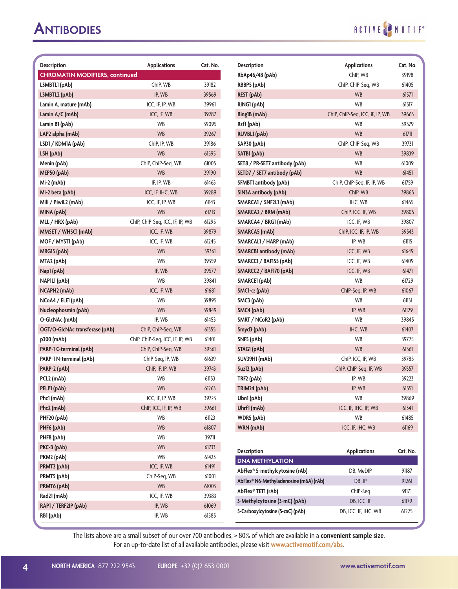# RCTIVE MOTIF

| <b>Description</b>                    | <b>Applications</b>             | Cat. No. | <b>Description</b>                     | <b>Applications</b>             | Cat. No. |
|---------------------------------------|---------------------------------|----------|----------------------------------------|---------------------------------|----------|
| <b>CHROMATIN MODIFIERS, continued</b> |                                 |          | RbAp46/48 (pAb)                        | ChIP, WB                        | 39198    |
| L3MBTL1 (pAb)                         | ChIP, WB                        | 39182    | RBBP5 (pAb)                            | ChIP, ChIP-Seq, WB              | 61405    |
| L3MBTL2 (pAb)                         | IP, WB                          | 39569    | <b>REST</b> (pAb)                      | <b>WB</b>                       | 61571    |
| Lamin A, mature (mAb)                 | ICC, IF, IP, WB                 | 39961    | RING1 (pAb)                            | <b>WB</b>                       | 61517    |
| Lamin A/C (mAb)                       | ICC, IF, WB                     | 39287    | Ring1B (mAb)                           | ChIP, ChIP-Seq, ICC, IF, IP, WB | 39663    |
| Lamin B1 (pAb)                        | <b>WB</b>                       | 39095    | Rsf1 (pAb)                             | WB                              | 39579    |
| LAP2 alpha (mAb)                      | <b>WB</b>                       | 39267    | <b>RUVBL1</b> (pAb)                    | <b>WB</b>                       | 61711    |
| LSD1 / KDM1A (pAb)                    | ChIP, IP, WB                    | 39186    | SAP30 (pAb)                            | ChIP, ChIP-Seg, WB              | 39731    |
| LSH (pAb)                             | <b>WB</b>                       | 61595    | SATB1 (pAb)                            | <b>WB</b>                       | 39839    |
| Menin (pAb)                           | ChIP, ChIP-Seq, WB              | 61005    | SET8 / PR-SET7 antibody (pAb)          | WB                              | 61009    |
| MEP50 (pAb)                           | <b>WB</b>                       | 39190    | SETD7 / SET7 antibody (pAb)            | <b>WB</b>                       | 61451    |
| Mi-2 (mAb)                            | IF, IP, WB                      | 61463    | SFMBTI antibody (pAb)                  | ChIP, ChIP-Seq, IF, IP, WB      | 61759    |
| Mi-2 beta (pAb)                       | ICC, IF, IHC, WB                | 39289    | SIN3A antibody (pAb)                   | ChIP, WB                        | 39865    |
| Mili / PiwiL2 (mAb)                   | ICC, IF, IP, WB                 | 61143    | SMARCA1 / SNF2L1 (mAb)                 | IHC, WB                         | 61465    |
| MINA (pAb)                            | <b>WB</b>                       | 61713    | SMARCA2 / BRM (mAb)                    | ChIP, ICC, IF, WB               | 39805    |
| MLL / HRX (pAb)                       | ChIP, ChIP-Seq, ICC, IF, IP, WB | 61295    | SMARCA4 / BRG1 (mAb)                   | ICC, IF, WB                     | 39807    |
| MMSET / WHSCI (mAb)                   | ICC, IF, WB                     | 39879    | SMARCA5 (mAb)                          | ChIP, ICC, IF, IP, WB           | 39543    |
| MOF / MYSTI (pAb)                     | ICC, IF, WB                     | 61245    | SMARCALI / HARP (mAb)                  | IP, WB                          | 61115    |
| MRG15 (pAb)                           | <b>WB</b>                       | 39361    | <b>SMARCB1</b> antibody (mAb)          | ICC, IF, WB                     | 61649    |
| MTA2 (pAb)                            | <b>WB</b>                       | 39359    | SMARCC1 / BAF155 (pAb)                 | ICC, IF, WB                     | 61409    |
| Nap1 (pAb)                            | IF, WB                          | 39577    | SMARCC2 / BAF170 (pAb)                 | ICC, IF, WB                     | 61471    |
| NAPILI (pAb)                          | <b>WB</b>                       | 39841    | SMARCE1 (pAb)                          | <b>WB</b>                       | 61729    |
| NCAPH2 (mAb)                          | ICC, IF, WB                     | 61681    | SMC1- $\alpha$ (pAb)                   | ChIP-Seq, IP, WB                | 61067    |
| NCoA4 / ELE1 (pAb)                    | WB                              | 39895    | SMC3 (pAb)                             | WB                              | 61131    |
| Nucleophosmin (pAb)                   | <b>WB</b>                       | 39849    | SMC4 (pAb)                             | IP, WB                          | 61129    |
| O-GlcNAc (mAb)                        | IP, WB                          | 61453    | SMRT / NCoR2 (pAb)                     | WB                              | 39845    |
| OGT/O-GlcNAc transferase (pAb)        | ChIP, ChIP-Seq, WB              | 61355    | Smyd3 (pAb)                            | IHC, WB                         | 61407    |
| p300 (mAb)                            | ChIP, ChIP-Seq, ICC, IF, IP, WB | 61401    | SNF5 (pAb)                             | WB                              | 39775    |
| PARP-1 C-terminal (pAb)               | ChIP, ChIP-Seq, WB              | 39561    | STAG1 (pAb)                            | <b>WB</b>                       | 61561    |
| PARP-1 N-terminal (pAb)               | ChIP-Seq, IP, WB                | 61639    | SUV39H1 (mAb)                          | ChIP, ICC, IP, WB               | 39785    |
| PARP-2 (pAb)                          | ChIP, IF, IP, WB                | 39743    | Suz12 (pAb)                            | ChIP, ChIP-Seq, IF, WB          | 39357    |
| PCL2 (mAb)                            | WB                              | 61153    | TRF2 (pAb)                             | IP, WB                          | 39223    |
| PELP1 (pAb)                           | <b>WB</b>                       | 61263    | TRIM24 (pAb)                           | IP, WB                          | 61551    |
| Phc1 (mAb)                            | ICC, IF, IP, WB                 | 39723    | Ubn1 (pAb)                             | <b>WB</b>                       | 39869    |
| Phc2 (mAb)                            | ChIP, ICC, IF, IP, WB           | 39661    | Uhrf1 (mAb)                            | ICC, IF, IHC, IP, WB            | 61341    |
| PHF20 (pAb)                           | WB                              | 61123    | WDR5 (pAb)                             | WB                              | 61485    |
| PHF6 (pAb)                            | <b>WB</b>                       | 61807    | WRN (mAb)                              | ICC, IF, IHC, WB                | 61169    |
| PHF8 (pAb)                            | WB                              | 39711    |                                        |                                 |          |
| PKC-B (pAb)                           | <b>WB</b>                       | 61733    | <b>Description</b>                     | <b>Applications</b>             | Cat. No. |
| PKM2 (pAb)                            | WB                              | 61423    | <b>DNA METHYLATION</b>                 |                                 |          |
| PRMT2 (pAb)                           | ICC, IF, WB                     | 61491    | AbFlex® 5-methylcytosine (rAb)         | DB, MeDIP                       | 91187    |
| PRMT5 (pAb)                           | ChIP-Seq, WB                    | 61001    | AbFlex® N6-Methyladenosine (m6A) (rAb) | DB, IP                          | 91261    |
| PRMT6 (pAb)                           | <b>WB</b>                       | 61003    | AbFlex® TET1 (rAb)                     | ChIP-Seq                        | 91171    |
| Rad21 (mAb)                           | ICC, IF, WB                     | 39383    | 3-Methylcytosine (3-mC) (pAb)          | DB, ICC, IF                     | 61179    |
| RAP1 / TERF2IP (pAb)                  | IP, WB                          | 61069    | 5-Carboxylcytosine (5-caC) (pAb)       | DB, ICC, IF, IHC, WB            | 61225    |
| RB1 (pAb)                             | IP, WB                          | 61585    |                                        |                                 |          |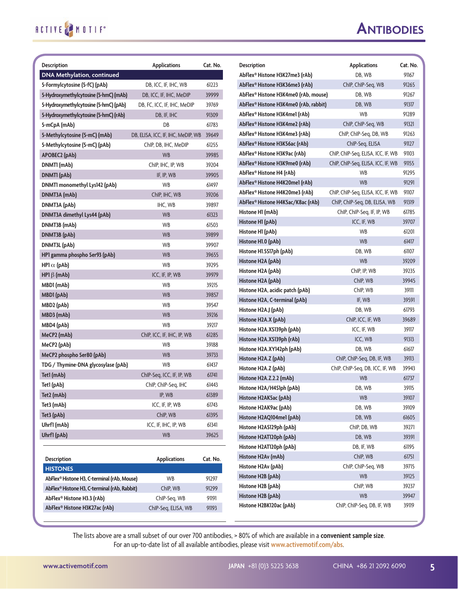| <b>Description</b>                           | <b>Applications</b>                | Cat. No. | <b>Description</b>                                 | <b>Applications</b>                | Cat. No.       |
|----------------------------------------------|------------------------------------|----------|----------------------------------------------------|------------------------------------|----------------|
| <b>DNA Methylation, continued</b>            |                                    |          | AbFlex® Histone H3K27me3 (rAb)                     | DB, WB                             | 91167          |
| 5-Formylcytosine (5-fC) (pAb)                | DB, ICC, IF, IHC, WB               | 61223    | AbFlex® Histone H3K36me3 (rAb)                     | ChIP, ChIP-Seq, WB                 | 91265          |
| 5-Hydroxymethylcytosine (5-hmC) (mAb)        | DB, ICC, IF, IHC, MeDIP            | 39999    | AbFlex® Histone H3K4me0 (rAb, mouse)               | DB, WB                             | 91267          |
| 5-Hydroxymethylcytosine (5-hmC) (pAb)        | DB, FC, ICC, IF, IHC, MeDIP        | 39769    | AbFlex® Histone H3K4me0 (rAb, rabbit)              | DB, WB                             | 91317          |
| 5-Hydroxymethylcytosine (5-hmC) (rAb)        | DB, IF, IHC                        | 91309    | AbFlex® Histone H3K4me1 (rAb)                      | <b>WB</b>                          | 91289          |
| 5-mCpA (mAb)                                 | DB                                 | 61783    | AbFlex® Histone H3K4me2 (rAb)                      | ChIP, ChIP-Seq, WB                 | 91321          |
| 5-Methylcytosine (5-mC) (mAb)                | DB, ELISA, ICC, IF, IHC, MeDIP, WB | 39649    | AbFlex® Histone H3K4me3 (rAb)                      | ChIP, ChIP-Seq, DB, WB             | 91263          |
| 5-Methylcytosine (5-mC) (pAb)                | ChIP, DB, IHC, MeDIP               | 61255    | AbFlex® Histone H3K56ac (rAb)                      | ChIP-Seq, ELISA                    | 91127          |
| APOBEC2 (pAb)                                | <b>WB</b>                          | 39985    | AbFlex® Histone H3K9ac (rAb)                       | ChIP, ChIP-Seq, ELISA, ICC, IF, WB | 91103          |
| DNMT1 (mAb)                                  | ChIP, IHC, IP, WB                  | 39204    | AbFlex® Histone H3K9me0 (rAb)                      | ChIP, ChIP-Seq, ELISA, ICC, IF, WB | 91155          |
| DNMTI (pAb)                                  | IF, IP, WB                         | 39905    | AbFlex® Histone H4 (rAb)                           | <b>WB</b>                          | 91295          |
| DNMTI monomethyl Lys142 (pAb)                | <b>WB</b>                          | 61497    | AbFlex® Histone H4K20me1 (rAb)                     | <b>WB</b>                          | 91291          |
| DNMT3A (mAb)                                 | ChIP, IHC, WB                      | 39206    | AbFlex® Histone H4K20me3 (rAb)                     | ChIP, ChIP-Seq, ELISA, ICC, IF, WB | 91107          |
| DNMT3A (pAb)                                 | IHC, WB                            | 39897    | AbFlex® Histone H4K5ac/K8ac (rAb)                  | ChIP, ChIP-Seq, DB, ELISA, WB      | 91319          |
| DNMT3A dimethyl Lys44 (pAb)                  | <b>WB</b>                          | 61323    | Histone H1 (mAb)                                   | ChIP, ChIP-Seq, IF, IP, WB         | 61785          |
| DNMT3B (mAb)                                 | <b>WB</b>                          | 61503    | Histone H1 (pAb)                                   | ICC, IF, WB                        | 39707          |
| DNMT3B (pAb)                                 | <b>WB</b>                          | 39899    | Histone H1 (pAb)                                   | <b>WB</b>                          | 61201          |
| DNMT3L (pAb)                                 | <b>WB</b>                          | 39907    | Histone H1.0 (pAb)                                 | <b>WB</b>                          | 61417          |
| HP1 gamma phospho Ser93 (pAb)                | <b>WB</b>                          | 39655    | Histone H1.5S17ph (pAb)                            | DB, WB                             | 61107          |
| HP1 $\alpha$ (pAb)                           | <b>WB</b>                          | 39295    | Histone H2A (pAb)                                  | <b>WB</b>                          | 39209          |
| HP1 $\beta$ (mAb)                            | ICC, IF, IP, WB                    | 39979    | Histone H2A (pAb)                                  | ChIP, IP, WB                       | 39235          |
| MBD1 (mAb)                                   | <b>WB</b>                          | 39215    | Histone H2A (pAb)                                  | ChIP, WB                           | 39945          |
| MBD1 (pAb)                                   | <b>WB</b>                          | 39857    | Histone H2A, acidic patch (pAb)                    | ChIP, WB                           | 39111          |
| MBD2 (pAb)                                   | <b>WB</b>                          | 39547    | Histone H2A, C-terminal (pAb)                      | IF, WB                             | 39591          |
| MBD3 (mAb)                                   | <b>WB</b>                          | 39216    | Histone H2A.J (pAb)                                | DB, WB                             | 61793          |
| MBD4 (pAb)                                   | <b>WB</b>                          | 39217    | Histone H2A.X (pAb)                                | ChIP, ICC, IF, WB                  | 39689          |
| MeCP2 (mAb)                                  | ChIP, ICC, IF, IHC, IP, WB         | 61285    | Histone H2A.XS139ph (pAb)                          | ICC, IF, WB                        | 39117          |
| MeCP2 (pAb)                                  | <b>WB</b>                          | 39188    | Histone H2A.XS139ph (rAb)                          | ICC, WB                            | 91313          |
| MeCP2 phospho Ser80 (pAb)                    | <b>WB</b>                          | 39733    | Histone H2A.XY142ph (pAb)                          | DB, WB                             | 61617          |
| TDG / Thymine-DNA glycosylase (pAb)          | <b>WB</b>                          | 61437    | Histone H2A.Z (pAb)                                | ChIP, ChIP-Seq, DB, IF, WB         | 39113          |
| Tet1 (mAb)                                   | ChIP-Seq, ICC, IF, IP, WB          | 61741    | Histone H2A.Z (pAb)                                | ChIP, ChIP-Seg, DB, ICC, IF, WB    | 39943          |
| Tet1 (pAb)                                   | ChIP, ChIP-Seq, IHC                | 61443    | Histone H2A.Z.2.2 (mAb)                            | <b>WB</b>                          | 61737          |
| Tet2 (mAb)                                   | IP, WB                             | 61389    | Histone H2A/H4S1ph (pAb)                           | DB, WB                             | 39115          |
| Tet3 (mAb)                                   | ICC, IF, IP, WB                    | 61743    | Histone H2AK5ac (pAb)                              | WB                                 | 39107          |
| Tet3 (pAb)                                   | ChIP, WB                           | 61395    | Histone H2AK9ac (pAb)                              | DB, WB                             | 39109          |
| Uhrf1 (mAb)                                  | ICC, IF, IHC, IP, WB               | 61341    | Histone H2AQ104me1 (pAb)                           | DB, WB<br>ChIP, DB, WB             | 61605<br>39271 |
| Uhrf1 (pAb)                                  | <b>WB</b>                          | 39625    | Histone H2AS129ph (pAb)<br>Histone H2AT120ph (pAb) | DB, WB                             | 39391          |
|                                              |                                    |          | Histone H2AT120ph (pAb)                            | DB, IF, WB                         | 61195          |
|                                              |                                    |          | Histone H2Av (mAb)                                 | ChIP, WB                           | 61751          |
| <b>Description</b>                           | <b>Applications</b>                | Cat. No. | Histone H2Av (pAb)                                 | ChIP, ChIP-Seq, WB                 | 39715          |
| <b>HISTONES</b>                              |                                    |          | Histone H2B (pAb)                                  | <b>WB</b>                          | 39125          |
| AbFlex® Histone H3, C-terminal (rAb, Mouse)  | WB                                 | 91297    | Histone H2B (pAb)                                  | ChIP, WB                           | 39237          |
| AbFlex® Histone H3, C-terminal (rAb, Rabbit) | ChIP, WB                           | 91299    | Histone H2B (pAb)                                  | WB                                 | 39947          |
| AbFlex® Histone H3.3 (rAb)                   | ChIP-Seq, WB                       | 91191    | Histone H2BK120ac (pAb)                            | ChIP, ChIP-Seq, DB, IF, WB         | 39119          |
| AbFlex® Histone H3K27ac (rAb)                | ChIP-Seq, ELISA, WB                | 91193    |                                                    |                                    |                |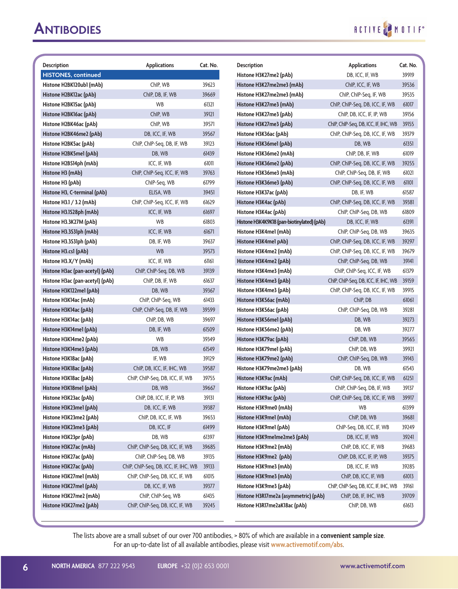## RCTIVE MOTIF

| <b>Description</b>              | <b>Applications</b>                  | Cat. No. | <b>Description</b>                         | <b>Applications</b>                  | Cat. No. |
|---------------------------------|--------------------------------------|----------|--------------------------------------------|--------------------------------------|----------|
| <b>HISTONES, continued</b>      |                                      |          | Histone H3K27me2 (pAb)                     | DB, ICC, IF, WB                      | 39919    |
| Histone H2BK120ub1 (mAb)        | ChIP, WB                             | 39623    | Histone H3K27me2me3 (mAb)                  | ChIP, ICC, IF, WB                    | 39536    |
| Histone H2BK12ac (pAb)          | ChIP, DB, IF, WB                     | 39669    | Histone H3K27me2me3 (mAb)                  | ChIP, ChIP-Seq, IF, WB               | 39535    |
| Histone H2BK15ac (pAb)          | WB                                   | 61321    | Histone H3K27me3 (mAb)                     | ChIP, ChIP-Seq, DB, ICC, IF, WB      | 61017    |
| Histone H2BK16ac (pAb)          | ChIP, WB                             | 39121    | Histone H3K27me3 (pAb)                     | ChIP, DB, ICC, IF, IP, WB            | 39156    |
| Histone H2BK46ac (pAb)          | ChIP, WB                             | 39571    | Histone H3K27me3 (pAb)                     | ChIP, ChIP-Seq, DB, ICC, IF, IHC, WB | 39155    |
| Histone H2BK46me2 (pAb)         | DB, ICC, IF, WB                      | 39567    | Histone H3K36ac (pAb)                      | ChIP, ChIP-Seq, DB, ICC, IF, WB      | 39379    |
| Histone H2BK5ac (pAb)           | ChIP, ChIP-Seq, DB, IF, WB           | 39123    | Histone H3K36me1 (pAb)                     | DB, WB                               | 61351    |
| Histone H2BK5me1 (pAb)          | DB, WB                               | 61439    | Histone H3K36me2 (mAb)                     | Chip, DB, IF, WB                     | 61019    |
| Histone H2BS14ph (mAb)          | ICC, IF, WB                          | 61011    | Histone H3K36me2 (pAb)                     | ChIP, ChIP-Seq, DB, ICC, IF, WB      | 39255    |
| Histone H3 (mAb)                | ChIP, ChIP-Seq, ICC, IF, WB          | 39763    | Histone H3K36me3 (mAb)                     | ChIP, ChIP-Seq, DB, IF, WB           | 61021    |
| Histone H3 (pAb)                | ChIP-Seq, WB                         | 61799    | Histone H3K36me3 (pAb)                     | ChIP, ChIP-Seq, DB, ICC, IF, WB      | 61101    |
| Histone H3, C-terminal (pAb)    | ELISA, WB                            | 39451    | Histone H3K37ac (pAb)                      | DB, IF, WB                           | 61587    |
| Histone H3.1 / 3.2 (mAb)        | ChIP, ChIP-Seg, ICC, IF, WB          | 61629    | Histone H3K4ac (pAb)                       | ChIP, ChIP-Seq, DB, ICC, IF, WB      | 39381    |
| Histone H3.1S28ph (mAb)         | ICC, IF, WB                          | 61697    | Histone H3K4ac (pAb)                       | ChIP, ChIP-Seq, DB, WB               | 61809    |
| Histone H3.3K27M (pAb)          | WB                                   | 61803    | Histone H3K4K9K18 (pan-biotinylated) (pAb) | DB, ICC, IF, WB                      | 61391    |
| Histone H3.3S31ph (mAb)         | ICC, IF, WB                          | 61671    | Histone H3K4me1 (mAb)                      | ChIP, ChIP-Seg, DB, WB               | 39635    |
| Histone H3.3S31ph (pAb)         | DB, IF, WB                           | 39637    | Histone H3K4me1 pAb)                       | ChIP, ChIP-Seq, DB, ICC, IF, WB      | 39297    |
| Histone H3.cs1 (pAb)            | WB                                   | 39573    | Histone H3K4me2 (mAb)                      | ChIP, ChIP-Seq, DB, ICC, IF, WB      | 39679    |
| Histone H3.X/Y (mAb)            | ICC, IF, WB                          | 61161    | Histone H3K4me2 (pAb)                      | ChIP, ChIP-Seq, DB, WB               | 39141    |
| Histone H3ac (pan-acetyl) (pAb) | ChIP, ChIP-Seg, DB, WB               | 39139    | Histone H3K4me3 (mAb)                      | ChIP, ChIP-Seg, ICC, IF, WB          | 61379    |
| Histone H3ac (pan-acetyl) (pAb) | Chip, DB, IF, WB                     | 61637    | Histone H3K4me3 (pAb)                      | ChIP, ChIP-Seq, DB, ICC, IF, IHC, WB | 39159    |
| Histone H3K122me1 (pAb)         | DB, WB                               | 39367    | Histone H3K4me3 (pAb)                      | ChIP, ChIP-Seq, DB, ICC, IF, WB      | 39915    |
| Histone H3K14ac (mAb)           | ChIP, ChIP-Seq, WB                   | 61433    | Histone H3K56ac (mAb)                      | ChIP, DB                             | 61061    |
| Histone H3K14ac (pAb)           | ChIP, ChIP-Seq, DB, IF, WB           | 39599    | Histone H3K56ac (pAb)                      | ChIP, ChIP-Seq, DB, WB               | 39281    |
| Histone H3K14ac (pAb)           | ChIP, DB, WB                         | 39697    | Histone H3K56me1 (pAb)                     | DB, WB                               | 39273    |
| Histone H3K14me1 (pAb)          | DB, IF, WB                           | 61509    | Histone H3K56me2 (pAb)                     | DB, WB                               | 39277    |
| Histone H3K14me2 (pAb)          | WB                                   | 39349    | Histone H3K79ac (pAb)                      | ChIP, DB, WB                         | 39565    |
| Histone H3K14me3 (pAb)          | DB. WB                               | 61549    | Histone H3K79me1 (pAb)                     | ChIP, DB, WB                         | 39921    |
| Histone H3K18ac (pAb)           | IF, WB                               | 39129    | Histone H3K79me2 (pAb)                     | ChIP, ChIP-Seq, DB, WB               | 39143    |
| Histone H3K18ac (pAb)           | ChIP, DB, ICC, IF, IHC, WB           | 39587    | Histone H3K79me2me3 (pAb)                  | DB, WB                               | 61543    |
| Histone H3K18ac (pAb)           | ChIP, ChIP-Seq, DB, ICC, IF, WB      | 39755    | Histone H3K9ac (mAb)                       | ChIP, ChIP-Seq, DB, ICC, IF, WB      | 61251    |
| Histone H3K18me1 (pAb)          | DB, WB                               | 39667    | Histone H3K9ac (pAb)                       | ChIP, ChIP-Seq, DB, IF, WB           | 39137    |
| Histone H3K23ac (pAb)           | ChIP, DB, ICC, IF, IP, WB            | 39131    | Histone H3K9ac (pAb)                       | ChIP, ChIP-Seq, DB, ICC, IF, WB      | 39917    |
| Histone H3K23me1 (pAb)          | DB, ICC, IF, WB                      | 39387    | Histone H3K9me0 (mAb)                      | WB                                   | 61399    |
| Histone H3K23me2 (pAb)          | ChIP, DB, ICC, IF, WB                | 39653    | Histone H3K9me1 (mAb)                      | ChIP, DB, WB                         | 39681    |
| Histone H3K23me3 (pAb)          | DB, ICC, IF                          | 61499    | Histone H3K9me1 (pAb)                      | ChIP-Seq, DB, ICC, IF, WB            | 39249    |
| Histone H3K23pr (pAb)           | DB, WB                               | 61397    | Histone H3K9me1me2me3 (pAb)                | DB, ICC, IF, WB                      | 39241    |
| Histone H3K27ac (mAb)           | ChIP, ChIP-Seq, DB, ICC, IF, WB      | 39685    | Histone H3K9me2 (mAb)                      | ChIP, DB, ICC, IF, WB                | 39683    |
| Histone H3K27ac (pAb)           | ChIP, ChIP-Seq, DB, WB               | 39135    | Histone H3K9me2 (pAb)                      | ChIP, DB, ICC, IF, IP, WB            | 39375    |
| Histone H3K27ac (pAb)           | ChIP, ChIP-Seq, DB, ICC, IF, IHC, WB | 39133    | Histone H3K9me3 (mAb)                      | DB, ICC, IF, WB                      | 39285    |
| Histone H3K27me1 (mAb)          | ChIP, ChIP-Seq, DB, ICC, IF, WB      | 61015    | Histone H3K9me3 (mAb)                      | ChIP, DB, ICC, IF, WB                | 61013    |
| Histone H3K27me1 (pAb)          | DB, ICC, IF, WB                      | 39377    | Histone H3K9me3 (pAb)                      | ChIP, ChIP-Seq, DB, ICC, IF, IHC, WB | 39161    |
| Histone H3K27me2 (mAb)          | ChIP, ChIP-Seq, WB                   | 61435    | Histone H3R17me2a (asymmetric) (pAb)       | ChIP, DB, IF, IHC, WB                | 39709    |
| Histone H3K27me2 (pAb)          | ChIP, ChIP-Seq, DB, ICC, IF, WB      | 39245    | Histone H3R17me2aK18ac (pAb)               | ChIP, DB, WB                         | 61613    |
|                                 |                                      |          |                                            |                                      |          |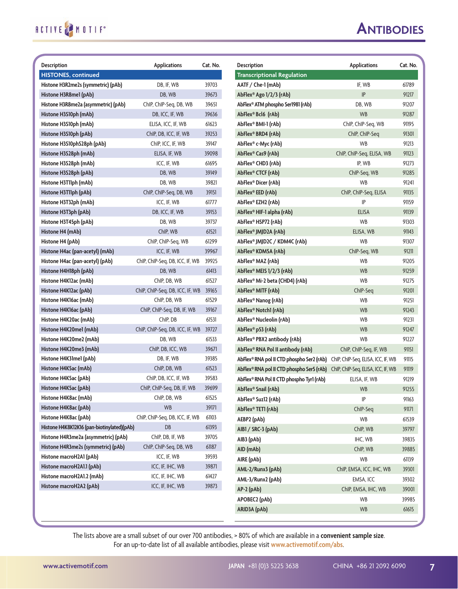#### **Antibodies**

| <b>Description</b>                         | <b>Applications</b>             | Cat. No. | <b>Description</b>                        | <b>Applications</b>                | Cat. No. |
|--------------------------------------------|---------------------------------|----------|-------------------------------------------|------------------------------------|----------|
| <b>HISTONES, continued</b>                 |                                 |          | <b>Transcriptional Regulation</b>         |                                    |          |
| Histone H3R2me2s (symmetric) (pAb)         | DB, IF, WB                      | 39703    | AATF / Che-1 (mAb)                        | IF, WB                             | 61789    |
| Histone H3R8me1 (pAb)                      | DB, WB                          | 39673    | AbFlex <sup>®</sup> Ago 1/2/3 (rAb)       | IP                                 | 91217    |
| Histone H3R8me2a (asymmetric) (pAb)        | ChIP, ChIP-Seq, DB, WB          | 39651    | AbFlex® ATM phospho Ser1981 (rAb)         | DB, WB                             | 91207    |
| Histone H3S10ph (mAb)                      | DB, ICC, IF, WB                 | 39636    | AbFlex® Bcl6 (rAb)                        | <b>WB</b>                          | 91287    |
| Histone H3S10ph (mAb)                      | ELISA, ICC, IF, WB              | 61623    | AbFlex® BMI-1 (rAb)                       | ChIP, ChIP-Seg, WB                 | 91195    |
| Histone H3S10ph (pAb)                      | ChIP, DB, ICC, IF, WB           | 39253    | AbFlex® BRD4 (rAb)                        | ChIP, ChIP-Seq                     | 91301    |
| Histone H3S10phS28ph (pAb)                 | Chip, ICC, IF, WB               | 39147    | AbFlex® c-Myc (rAb)                       | WB                                 | 91213    |
| Histone H3S28ph (mAb)                      | ELISA, IF, WB                   | 39098    | AbFlex® Cas9 (rAb)                        | ChIP, ChIP-Seq, ELISA, WB          | 91123    |
| Histone H3S28ph (mAb)                      | ICC, IF, WB                     | 61695    | AbFlex® CHD3 (rAb)                        | IP, WB                             | 91273    |
| Histone H3S28ph (pAb)                      | DB, WB                          | 39149    | AbFlex® CTCF (rAb)                        | ChIP-Seq, WB                       | 91285    |
| Histone H3T11ph (mAb)                      | DB, WB                          | 39821    | AbFlex® Dicer (rAb)                       | WB                                 | 91241    |
| Histone H3T11ph (pAb)                      | ChIP, ChIP-Seq, DB, WB          | 39151    | AbFlex® EED (rAb)                         | ChIP, ChIP-Seq, ELISA              | 91135    |
| Histone H3T32ph (mAb)                      | ICC, IF, WB                     | 61777    | AbFlex® EZH2 (rAb)                        | IP                                 | 91159    |
| Histone H3T3ph (pAb)                       | DB, ICC, IF, WB                 | 39153    | AbFlex® HIF-1 alpha (rAb)                 | <b>ELISA</b>                       | 91139    |
| Histone H3T45ph (pAb)                      | DB, WB                          | 39737    | AbFlex® HSP72 (rAb)                       | WB                                 | 91303    |
| Histone H4 (mAb)                           | ChIP, WB                        | 61521    | AbFlex® JMJD2A (rAb)                      | ELISA, WB                          | 91143    |
| Histone H4 (pAb)                           | ChIP, ChIP-Seq, WB              | 61299    | AbFlex® JMJD2C / KDM4C (rAb)              | <b>WB</b>                          | 91307    |
| Histone H4ac (pan-acetyl) (mAb)            | ICC, IF, WB                     | 39967    | AbFlex® KDM5A (rAb)                       | ChIP-Seq, WB                       | 91211    |
| Histone H4ac (pan-acetyl) (pAb)            | ChIP, ChIP-Seq, DB, ICC, IF, WB | 39925    | AbFlex® MAZ (rAb)                         | WB                                 | 91205    |
| Histone H4H18ph (pAb)                      | DB, WB                          | 61413    | AbFlex® MEIS 1/2/3 (rAb)                  | <b>WB</b>                          | 91259    |
| Histone H4K12ac (mAb)                      | ChIP, DB, WB                    | 61527    | AbFlex® Mi-2 beta (CHD4) (rAb)            | WB                                 | 91275    |
| Histone H4K12ac (pAb)                      | ChIP, ChIP-Seq, DB, ICC, IF, WB | 39165    | AbFlex® MITF (rAb)                        | ChIP-Seq                           | 91201    |
| Histone H4K16ac (mAb)                      | ChIP, DB, WB                    | 61529    | AbFlex® Nanog (rAb)                       | <b>WB</b>                          | 91251    |
| Histone H4K16ac (pAb)                      | ChIP, ChIP-Seq, DB, IF, WB      | 39167    | AbFlex® Notch1 (rAb)                      | <b>WB</b>                          | 91243    |
| Histone H4K20ac (mAb)                      | ChIP, DB                        | 61531    | AbFlex® Nucleolin (rAb)                   | WB                                 | 91231    |
| Histone H4K20me1 (mAb)                     | ChIP, ChIP-Seq, DB, ICC, IF, WB | 39727    | AbFlex <sup>®</sup> p53 (rAb)             | <b>WB</b>                          | 91247    |
| Histone H4K20me2 (mAb)                     | DB, WB                          | 61533    | AbFlex® PBX2 antibody (rAb)               | <b>WB</b>                          | 91227    |
| Histone H4K20me3 (mAb)                     | ChIP, DB, ICC, WB               | 39671    | AbFlex® RNA Pol II antibody (rAb)         | ChIP, ChIP-Seq, IF, WB             | 91151    |
| Histone H4K31me1 (pAb)                     | DB, IF, WB                      | 39385    | AbFlex® RNA pol II CTD phospho Ser2 (rAb) | ChIP, ChIP-Seq, ELISA, ICC, IF, WB | 91115    |
| Histone H4K5ac (mAb)                       | ChIP, DB, WB                    | 61523    | AbFlex® RNA pol II CTD phospho Ser5 (rAb) | ChIP, ChIP-Seq, ELISA, ICC, IF, WB | 91119    |
| Histone H4K5ac (pAb)                       | ChIP, DB, ICC, IF, WB           | 39583    | AbFlex® RNA Pol II CTD phospho Tyr1 (rAb) | ELISA, IF, WB                      | 91219    |
| Histone H4K5ac (pAb)                       | ChIP, ChIP-Seq, DB, IF, WB      | 39699    | AbFlex <sup>®</sup> Snail (rAb)           | WB                                 | 91255    |
| Histone H4K8ac (mAb)                       | ChIP, DB, WB                    | 61525    | AbFlex® Suz12 (rAb)                       | IP                                 | 91163    |
| Histone H4K8ac (pAb)                       | <b>WB</b>                       | 39171    | AbFlex® TET1 (rAb)                        | ChIP-Seq                           | 91171    |
| Histone H4K8ac (pAb)                       | ChIP, ChIP-Seq, DB, ICC, IF, WB | 61103    | AEBP2 (pAb)                               | WB                                 | 61539    |
| Histone H4K8K12K16 (pan-biotinylated)(pAb) | DB                              | 61393    | AIB1 / SRC-3 (pAb)                        | ChIP, WB                           | 39797    |
| Histone H4R3me2a (asymmetric) (pAb)        | ChIP, DB, IF, WB                | 39705    | AIB3 (pAb)                                | IHC, WB                            | 39835    |
| Histone H4R3me2s (symmetric) (pAb)         | ChIP, ChIP-Seq, DB, WB          | 61187    | AID (mAb)                                 | ChIP, WB                           | 39885    |
| Histone macroH2A1 (pAb)                    | ICC, IF, WB                     | 39593    | AIRE (pAb)                                | WB                                 | 61139    |
| Histone macroH2A1.1 (pAb)                  | ICC, IF, IHC, WB                | 39871    | AML-2/Runx3 (pAb)                         | ChIP, EMSA, ICC, IHC, WB           | 39301    |
| Histone macroH2A1.2 (mAb)                  | ICC, IF, IHC, WB                | 61427    | AML-3/Runx2 (pAb)                         | EMSA, ICC                          | 39302    |
| Histone macroH2A2 (pAb)                    | ICC, IF, IHC, WB                | 39873    | $AP-2$ (pAb)                              | ChIP, EMSA, IHC, WB                | 39001    |
|                                            |                                 |          | APOBEC2 (pAb)                             | WB                                 | 39985    |
|                                            |                                 |          |                                           |                                    |          |
|                                            |                                 |          | ARID3A (pAb)                              | <b>WB</b>                          | 61615    |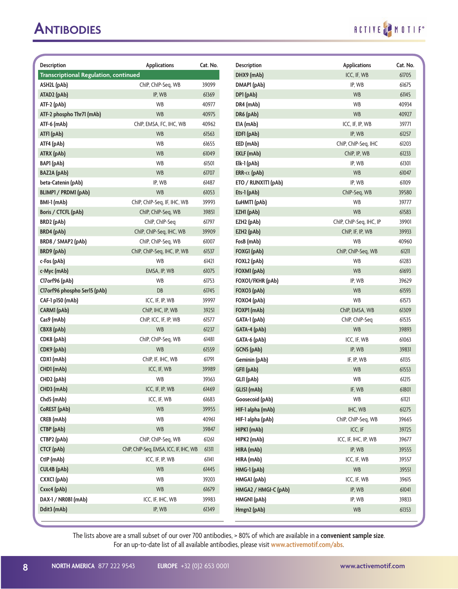## RCTIVE MOTIF

| <b>Description</b>                           | <b>Applications</b>                    | Cat. No. | <b>Description</b>   | <b>Applications</b>     | Cat. No. |
|----------------------------------------------|----------------------------------------|----------|----------------------|-------------------------|----------|
| <b>Transcriptional Regulation, continued</b> |                                        |          | DHX9 (mAb)           | ICC, IF, WB             | 61705    |
| ASH2L (pAb)                                  | ChIP, ChIP-Seq, WB                     | 39099    | DMAP1 (pAb)          | IP, WB                  | 61675    |
| ATAD2 (pAb)                                  | IP, WB                                 | 61369    | DP1 (pAb)            | <b>WB</b>               | 61145    |
| ATF-2 (pAb)                                  | WB                                     | 40977    | DR4 (mAb)            | WB                      | 40934    |
| ATF-2 phospho Thr71 (mAb)                    | <b>WB</b>                              | 40975    | DR6 (pAb)            | <b>WB</b>               | 40927    |
| ATF-6 (mAb)                                  | ChIP, EMSA, FC, IHC, WB                | 40962    | E1A (mAb)            | ICC, IF, IP, WB         | 39771    |
| ATF1 (pAb)                                   | <b>WB</b>                              | 61563    | EDFI (pAb)           | IP, WB                  | 61257    |
| ATF4 (pAb)                                   | WB                                     | 61655    | EED (mAb)            | ChIP, ChIP-Seq, IHC     | 61203    |
| ATRX (pAb)                                   | WB                                     | 61049    | EKLF (mAb)           | ChIP, IP, WB            | 61233    |
| BAP1 (pAb)                                   | WB                                     | 61501    | Elk-1 (pAb)          | IP, WB                  | 61301    |
| BAZ2A (pAb)                                  | <b>WB</b>                              | 61707    | ERR- $\alpha$ (pAb)  | <b>WB</b>               | 61047    |
| beta-Catenin (pAb)                           | IP, WB                                 | 61487    | ETO / RUNXITI (pAb)  | IP, WB                  | 61109    |
| BLIMP1 / PRDM1 (pAb)                         | <b>WB</b>                              | 61053    | Ets-1 (pAb)          | ChIP-Seq, WB            | 39580    |
| BMI-1 (mAb)                                  | ChIP, ChIP-Seq, IF, IHC, WB            | 39993    | EuHMT1 (pAb)         | <b>WB</b>               | 39777    |
| Boris / CTCFL (pAb)                          | ChIP, ChIP-Seq, WB                     | 39851    | EZH1 (pAb)           | <b>WB</b>               | 61583    |
| BRD2 (pAb)                                   | ChIP, ChIP-Seq                         | 61797    | EZH2 (pAb)           | ChIP, ChIP-Seq, IHC, IP | 39901    |
| <b>BRD4</b> (pAb)                            | ChIP, ChIP-Seq, IHC, WB                | 39909    | EZH2 (pAb)           | ChIP, IF, IP, WB        | 39933    |
| BRD8 / SMAP2 (pAb)                           | ChIP, ChIP-Seq, WB                     | 61007    | FosB (mAb)           | WB                      | 40960    |
| <b>BRD9</b> (pAb)                            | ChIP, ChIP-Seq, IHC, IP, WB            | 61537    | FOXGI (pAb)          | ChIP, ChIP-Seq, WB      | 61211    |
| c-Fos (pAb)                                  | WB                                     | 61421    | FOXL2 (pAb)          | WB                      | 61283    |
| c-Myc (mAb)                                  | EMSA, IP, WB                           | 61075    | FOXM1 (pAb)          | <b>WB</b>               | 61693    |
| Cl7orf96 (pAb)                               | WB                                     | 61753    | FOXO1/FKHR (pAb)     | IP, WB                  | 39629    |
| CI7 or f96 phospho Ser15 (pAb)               | DB                                     | 61745    | FOXO3 (pAb)          | <b>WB</b>               | 61593    |
| CAF-1 p150 (mAb)                             | ICC, IF, IP, WB                        | 39997    | FOXO4 (pAb)          | WB                      | 61573    |
| CARM1 (pAb)                                  | ChIP, IHC, IP, WB                      | 39251    | FOXP1 (mAb)          | ChIP, EMSA, WB          | 61309    |
| Cas9 (mAb)                                   | ChIP, ICC, IF, IP, WB                  | 61577    | GATA-1 (pAb)         | ChIP, ChIP-Seq          | 61535    |
| CBX8 (pAb)                                   | <b>WB</b>                              | 61237    | GATA-4 (pAb)         | <b>WB</b>               | 39893    |
| CDK8 (pAb)                                   | ChIP, ChIP-Seq, WB                     | 61481    | GATA-6 (pAb)         | ICC, IF, WB             | 61063    |
| CDK9 (pAb)                                   | <b>WB</b>                              | 61559    | GCN5 (pAb)           | IP, WB                  | 39831    |
| CDX1 (mAb)                                   | ChIP, IF, IHC, WB                      | 61791    | Geminin (pAb)        | IF, IP, WB              | 61135    |
| CHD1 (mAb)                                   | ICC, IF, WB                            | 39989    | GFI1 (pAb)           | <b>WB</b>               | 61553    |
| CHD2 (pAb)                                   | WB                                     | 39363    | GLI1 (pAb)           | WB                      | 61215    |
| CHD3 (mAb)                                   | ICC, IF, IP, WB                        | 61469    | GLIS1 (mAb)          | IF, WB                  | 61801    |
| Chd5 (mAb)                                   | ICC, IF, WB                            | 61683    | Goosecoid (pAb)      | WB                      | 61121    |
| CoREST (pAb)                                 | <b>WB</b>                              | 39955    | HIF-1 alpha (mAb)    | IHC, WB                 | 61275    |
| CREB (mAb)                                   | WB                                     | 40961    | HIF-1 alpha (pAb)    | ChIP, ChIP-Seq, WB      | 39665    |
| CTBP (pAb)                                   | <b>WB</b>                              | 39847    | HIPK1 (mAb)          | ICC, IF                 | 39725    |
| CTBP2 (pAb)                                  | ChIP, ChIP-Seq, WB                     | 61261    | HIPK2 (mAb)          | ICC, IF, IHC, IP, WB    | 39677    |
| <b>CTCF</b> (pAb)                            | ChIP, ChIP-Seq, EMSA, ICC, IF, IHC, WB | 61311    | HIRA (mAb)           | IP, WB                  | 39555    |
| CtlP (mAb)                                   | ICC, IF, IP, WB                        | 61141    | HIRA (mAb)           | ICC, IF, WB             | 39557    |
| <b>CUL4B</b> (pAb)                           | <b>WB</b>                              | 61445    | HMG-1 (pAb)          | WB                      | 39551    |
| CXXCI (pAb)                                  | <b>WB</b>                              | 39203    | HMGA1 (pAb)          | ICC, IF, WB             | 39615    |
| Cxxc4 (pAb)                                  | <b>WB</b>                              | 61679    | HMGA2 / HMGI-C (pAb) | IP, WB                  | 61041    |
| DAX-1 / NR0B1 (mAb)                          | ICC, IF, IHC, WB                       | 39983    | HMGN1 (pAb)          | IP, WB                  | 39833    |
| Ddit3 (mAb)                                  | IP, WB                                 | 61349    | Hmgn2 (pAb)          | WB                      | 61353    |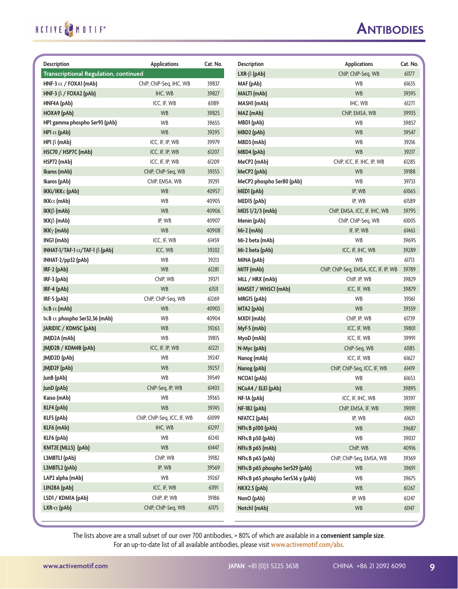#### **Antibodies**

| <b>Description</b>                           | <b>Applications</b>         | Cat. No. | <b>Description</b>               | <b>Applications</b>                   | Cat. No. |
|----------------------------------------------|-----------------------------|----------|----------------------------------|---------------------------------------|----------|
| <b>Transcriptional Regulation, continued</b> |                             |          | $LXR-\beta$ (pAb)                | ChIP, ChIP-Seq, WB                    | 61177    |
| HNF-3 $\alpha$ / FOXA1 (mAb)                 | ChIP, ChIP-Seq, IHC, WB     | 39837    | MAF (pAb)                        | WB                                    | 61635    |
| HNF-3 $\beta$ / FOXA2 (pAb)                  | IHC, WB                     | 39827    | MALTI (mAb)                      | <b>WB</b>                             | 39395    |
| HNF4A (pAb)                                  | ICC, IF, WB                 | 61189    | MASHI (mAb)                      | IHC, WB                               | 61271    |
| HOXA9 (pAb)                                  | <b>WB</b>                   | 39825    | MAZ (mAb)                        | ChIP, EMSA, WB                        | 39935    |
| HP1 gamma phospho Ser93 (pAb)                | <b>WB</b>                   | 39655    | MBD1 (pAb)                       | <b>WB</b>                             | 39857    |
| HP1 $\alpha$ (pAb)                           | <b>WB</b>                   | 39295    | MBD2 (pAb)                       | <b>WB</b>                             | 39547    |
| HP1 $\beta$ (mAb)                            | ICC, IF, IP, WB             | 39979    | MBD3 (mAb)                       | WB                                    | 39216    |
| HSC70 / HSP7C (mAb)                          | ICC, IF, IP, WB             | 61207    | MBD4 (pAb)                       | <b>WB</b>                             | 39217    |
| HSP72 (mAb)                                  | ICC, IF, IP, WB             | 61209    | MeCP2 (mAb)                      | ChIP, ICC, IF, IHC, IP, WB            | 61285    |
| Ikaros (mAb)                                 | ChIP, ChIP-Seq, WB          | 39355    | MeCP2 (pAb)                      | <b>WB</b>                             | 39188    |
| Ikaros (pAb)                                 | ChIP, EMSA, WB              | 39291    | MeCP2 phospho Ser80 (pAb)        | <b>WB</b>                             | 39733    |
| IKKi/IKKε (pAb)                              | <b>WB</b>                   | 40957    | MED1 (pAb)                       | IP, WB                                | 61065    |
| IKK $\alpha$ (mAb)                           | WB                          | 40905    | MED <sub>15</sub> (pAb)          | IP, WB                                | 61589    |
| IKK $\beta$ (mAb)                            | <b>WB</b>                   | 40906    | MEIS 1/2/3 (mAb)                 | ChIP, EMSA, ICC, IF, IHC, WB          | 39795    |
| IKKß (mAb)                                   | IP, WB                      | 40907    | Menin (pAb)                      | ChIP, ChIP-Seg, WB                    | 61005    |
| IKK $\gamma$ (mAb)                           | <b>WB</b>                   | 40908    | $Mi-2$ (mAb)                     | IF, IP, WB                            | 61463    |
| ING1 (mAb)                                   | ICC, IF, WB                 | 61459    | Mi-2 beta (mAb)                  | <b>WB</b>                             | 39695    |
| INHAT-1/TAF-1 $\alpha$ /TAF-1 $\beta$ (pAb)  | ICC. WB                     | 39202    | Mi-2 beta (pAb)                  | ICC, IF, IHC, WB                      | 39289    |
| INHAT-2/pp32 (pAb)                           | <b>WB</b>                   | 39213    | MINA (pAb)                       | <b>WB</b>                             | 61713    |
| IRF-2 (pAb)                                  | <b>WB</b>                   | 61281    | MITF (mAb)                       | ChIP, ChIP-Seq, EMSA, ICC, IF, IP, WB | 39789    |
| IRF-3 (pAb)                                  | ChIP, WB                    | 39371    | MLL / HRX (mAb)                  | ChIP, IP, WB                          | 39829    |
| IRF-4 (pAb)                                  | <b>WB</b>                   | 61511    | MMSET / WHSC1 (mAb)              | ICC, IF, WB                           | 39879    |
| IRF-5 (pAb)                                  | ChIP, ChIP-Seq, WB          | 61269    | MRG15 (pAb)                      | WB                                    | 39361    |
| IKB $\alpha$ (mAb)                           | <b>WB</b>                   | 40903    | MTA2 (pAb)                       | <b>WB</b>                             | 39359    |
| IKB $\alpha$ phospho Ser32,36 (mAb)          | WB                          | 40904    | MXD1 (mAb)                       | ChIP, IP, WB                          | 61739    |
| JARIDIC / KDM5C (pAb)                        | <b>WB</b>                   | 39263    | Myf-5 (mAb)                      | ICC, IF, WB                           | 39801    |
| JMJD2A (mAb)                                 | WB                          | 39815    | MyoD (mAb)                       | ICC, IF, WB                           | 39991    |
| JMJD2B / KDM4B (pAb)                         | ICC, IF, IP, WB             | 61221    | N-Myc (pAb)                      | ChIP-Seq, WB                          | 61185    |
| JMJD2D (pAb)                                 | WB                          | 39247    | Nanog (mAb)                      | ICC, IF, WB                           | 61627    |
| JMJD2F (pAb)                                 | <b>WB</b>                   | 39257    | Nanog (pAb)                      | ChIP, ChIP-Seq, ICC, IF, WB           | 61419    |
| JunB (pAb)                                   | WB                          | 39549    | NCOA1 (pAb)                      | WB                                    | 61653    |
| JunD (pAb)                                   | ChIP-Seq, IP, WB            | 61403    | NCoA4 / ELE1 (pAb)               | WB                                    | 39895    |
| Kaiso (mAb)                                  | WB                          | 39365    | NF-1A (pAb)                      | ICC, IF, IHC, WB                      | 39397    |
| KLF4 (pAb)                                   | WB                          | 39745    | NF-1B2 (pAb)                     | ChIP, EMSA, IF, WB                    | 39091    |
| KLF5 (pAb)                                   | ChIP, ChIP-Seq, ICC, IF, WB | 61099    | NFATC2 (pAb)                     | IP, WB                                | 61621    |
| KLF6 (mAb)                                   | IHC, WB                     | 61297    | NFIKB p100 (pAb)                 | WB                                    | 39687    |
| KLF6 (pAb)                                   | WB                          | 61243    | NFIKB p50 (pAb)                  | WB                                    | 39037    |
| KMT2E (MLL5) (pAb)                           | <b>WB</b>                   | 61447    | NFIKB p65 (mAb)                  | ChIP, WB                              | 40916    |
| L3MBTL1 (pAb)                                | ChIP, WB                    | 39182    | NFIKB p65 (pAb)                  | ChIP, ChIP-Seq, EMSA, WB              | 39369    |
| L3MBTL2 (pAb)                                | IP, WB                      | 39569    | NFIKB p65 phospho Ser529 (pAb)   | <b>WB</b>                             | 39691    |
| LAP2 alpha (mAb)                             | WB                          | 39267    | NFIKB p65 phospho Ser536 y (pAb) | WB                                    | 39675    |
| LIN28A (pAb)                                 | ICC, IF, WB                 | 61191    | <b>NKX2.5 (pAb)</b>              | WB                                    | 61267    |
| LSD1 / KDM1A (pAb)                           | ChIP, IP, WB                | 39186    | NonO (pAb)                       | IP, WB                                | 61247    |
| LXR- $\alpha$ (pAb)                          | ChIP, ChIP-Seq, WB          | 61175    | Notch1 (mAb)                     | WB                                    | 61147    |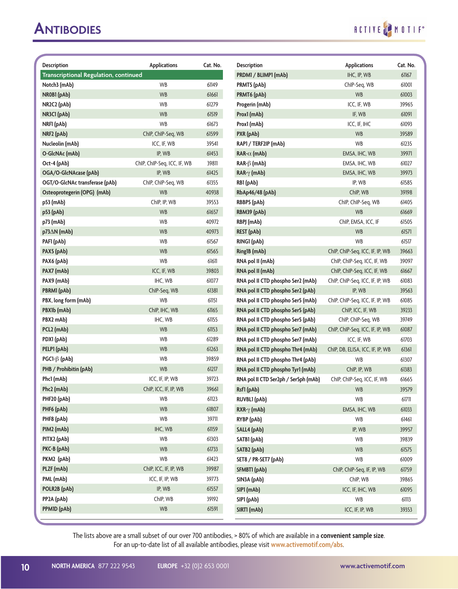| <b>Description</b>                    | <b>Applications</b>         | Cat. No. | Description                          | <b>Applications</b>              | Cat. No. |
|---------------------------------------|-----------------------------|----------|--------------------------------------|----------------------------------|----------|
| Transcriptional Regulation, continued |                             |          | PRDM1 / BLIMP1 (mAb)                 | IHC, IP, WB                      | 61167    |
| Notch3 (mAb)                          | WB                          | 61149    | PRMT5 (pAb)                          | ChIP-Seq, WB                     | 61001    |
| NR0B1 (pAb)                           | <b>WB</b>                   | 61661    | PRMT6 (pAb)                          | WB                               | 61003    |
| NR2C2 (pAb)                           | WB                          | 61279    | Progerin (mAb)                       | ICC, IF, WB                      | 39965    |
| NR3C1 (pAb)                           | <b>WB</b>                   | 61519    | Prox1 (mAb)                          | IF, WB                           | 61091    |
| NRFI (pAb)                            | <b>WB</b>                   | 61673    | Prox1 (mAb)                          | ICC, IF, IHC                     | 61093    |
| NRF2 (pAb)                            | ChIP, ChIP-Seq, WB          | 61599    | PXR (pAb)                            | <b>WB</b>                        | 39589    |
| Nucleolin (mAb)                       | ICC, IF, WB                 | 39541    | RAP1 / TERF2IP (mAb)                 | WB                               | 61235    |
| O-GlcNAc (mAb)                        | IP, WB                      | 61453    | RAR- $\alpha$ (mAb)                  | EMSA, IHC, WB                    | 39971    |
| Oct-4 (pAb)                           | ChIP, ChIP-Seq, ICC, IF, WB | 39811    | $RAR-\beta$ (mAb)                    | EMSA, IHC, WB                    | 61027    |
| OGA/O-GlcNAcase (pAb)                 | IP, WB                      | 61425    | $RAR-\gamma$ (mAb)                   | EMSA, IHC, WB                    | 39973    |
| OGT/O-GlcNAc transferase (pAb)        | ChIP, ChIP-Seq, WB          | 61355    | RB1 (pAb)                            | IP, WB                           | 61585    |
| Osteoprotegerin (OPG) (mAb)           | <b>WB</b>                   | 40938    | RbAp46/48 (pAb)                      | ChIP, WB                         | 39198    |
| p53 (mAb)                             | ChIP, IP, WB                | 39553    | RBBP5 (pAb)                          | ChIP, ChIP-Seq, WB               | 61405    |
| p53 (pAb)                             | <b>WB</b>                   | 61657    | RBM39 (pAb)                          | <b>WB</b>                        | 61669    |
| p73 (mAb)                             | WB                          | 40972    | RBPJ (mAb)                           | ChIP, EMSA, ICC, IF              | 61505    |
| p73∆N (mAb)                           | <b>WB</b>                   | 40973    | <b>REST</b> (pAb)                    | <b>WB</b>                        | 61571    |
| PAF1 (pAb)                            | WB                          | 61567    | RING1 (pAb)                          | WB                               | 61517    |
| PAX5 (pAb)                            | <b>WB</b>                   | 61565    | Ring1B (mAb)                         | ChIP, ChIP-Seq, ICC, IF, IP, WB  | 39663    |
| PAX6 (pAb)                            | WB                          | 61611    | RNA pol II (mAb)                     | ChIP, ChIP-Seq, ICC, IF, WB      | 39097    |
| PAX7 (mAb)                            | ICC, IF, WB                 | 39803    | RNA pol II (mAb)                     | ChIP, ChIP-Seq, ICC, IF, WB      | 61667    |
| PAX9 (mAb)                            | IHC, WB                     | 61077    | RNA pol II CTD phospho Ser2 (mAb)    | ChIP, ChIP-Seq, ICC, IF, IP, WB  | 61083    |
| PBRM1 (pAb)                           | ChIP-Seq, WB                | 61381    | RNA pol II CTD phospho Ser2 (pAb)    | IP, WB                           | 39563    |
| PBX, long form (mAb)                  | <b>WB</b>                   | 61151    | RNA pol II CTD phospho Ser5 (mAb)    | ChIP, ChIP-Seq, ICC, IF, IP, WB  | 61085    |
| PBX1b (mAb)                           | ChIP, IHC, WB               | 61165    | RNA pol II CTD phospho Ser5 (pAb)    | ChIP, ICC, IF, WB                | 39233    |
| PBX2 mAb)                             | IHC, WB                     | 61155    | RNA pol II CTD phospho Ser5 (pAb)    | ChIP, ChIP-Seq, WB               | 39749    |
| PCL2 (mAb)                            | WB                          | 61153    | RNA pol II CTD phospho Ser7 (mAb)    | ChIP, ChIP-Seq, ICC, IF, IP, WB  | 61087    |
| PDX1 (pAb)                            | WB                          | 61289    | RNA pol II CTD phospho Ser7 (mAb)    | ICC, IF, WB                      | 61703    |
| PELP1 (pAb)                           | <b>WB</b>                   | 61263    | RNA pol II CTD phospho Thr4 (mAb)    | ChIP, DB, ELISA, ICC, IF, IP, WB | 61361    |
| PGC1-ß (pAb)                          | WB                          | 39859    | RNA pol II CTD phospho Thr4 (pAb)    | WB                               | 61307    |
| PHB / Prohibitin (pAb)                | <b>WB</b>                   | 61217    | RNA pol II CTD phospho Tyr1 (mAb)    | ChIP, IP, WB                     | 61383    |
| Phc1 (mAb)                            | ICC, IF, IP, WB             | 39723    | RNA pol II CTD Ser2ph / Ser5ph (mAb) | ChIP, ChIP-Seq, ICC, IF, WB      | 61665    |
| Phc2 (mAb)                            | ChIP, ICC, IF, IP, WB       | 39661    | Rsf1 (pAb)                           | WB                               | 39579    |
| PHF20 (pAb)                           | WB                          | 61123    | <b>RUVBLI</b> (pAb)                  | WB                               | 61711    |
| PHF6 (pAb)                            | WB                          | 61807    | $RXR-\gamma$ (mAb)                   | EMSA, IHC, WB                    | 61033    |
| PHF8 (pAb)                            | WB                          | 39711    | RYBP (pAb)                           | WB                               | 61461    |
| PIM2 (mAb)                            | IHC, WB                     | 61159    | SALL4 (pAb)                          | IP, WB                           | 39957    |
| PITX2 (pAb)                           | WB                          | 61303    | SATB1 (pAb)                          | WB                               | 39839    |
| PKC-B (pAb)                           | <b>WB</b>                   | 61733    | SATB2 (pAb)                          | WB                               | 61575    |
| PKM2 (pAb)                            | WB                          | 61423    | SET8 / PR-SET7 (pAb)                 | WB                               | 61009    |
| PLZF (mAb)                            | ChIP, ICC, IF, IP, WB       | 39987    | SFMBTI (pAb)                         | ChIP, ChIP-Seq, IF, IP, WB       | 61759    |
| PML (mAb)                             | ICC, IF, IP, WB             | 39773    | SIN3A (pAb)                          | ChIP, WB                         | 39865    |
| POLR2B (pAb)                          | IP, WB                      | 61557    | SIP1 (mAb)                           | ICC, IF, IHC, WB                 | 61095    |
| PP2A (pAb)                            | ChIP, WB                    | 39192    | SIP1 (pAb)                           | WB                               | 61113    |
| PPMID (pAb)                           | WB                          | 61591    | SIRTI (mAb)                          | ICC, IF, IP, WB                  | 39353    |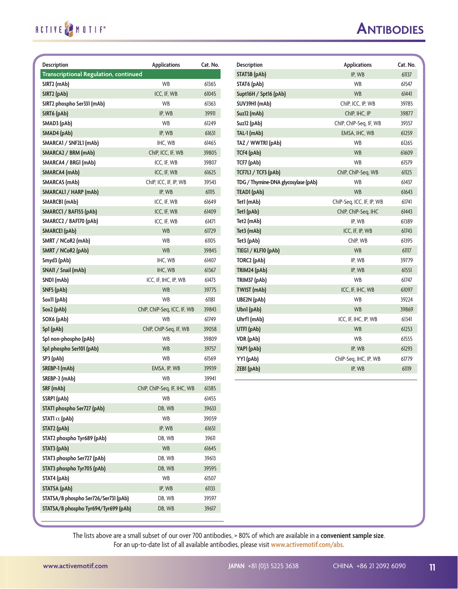#### **Antibodies**

**Description Applications Cat. No.**

| <b>Description</b>                           | <b>Applications</b>         | Cat. No. | <b>Description</b>                  | <b>Applications</b>       |  |
|----------------------------------------------|-----------------------------|----------|-------------------------------------|---------------------------|--|
| <b>Transcriptional Regulation, continued</b> |                             |          | <b>STAT5B</b> (pAb)                 | IP, WB                    |  |
| SIRT2 (mAb)                                  | <b>WB</b>                   | 61365    | STAT6 (pAb)                         | <b>WB</b>                 |  |
| SIRT2 (pAb)                                  | ICC, IF, WB                 | 61045    | Supt16H / Spt16 (pAb)               | <b>WB</b>                 |  |
| SIRT2 phospho Ser331 (mAb)                   | <b>WB</b>                   | 61363    | SUV39H1 (mAb)                       | ChIP, ICC, IP, WB         |  |
| SIRT6 (pAb)                                  | IP, WB                      | 39911    | Suz12 (mAb)                         | ChIP, IHC, IP             |  |
| SMAD3 (pAb)                                  | <b>WB</b>                   | 61249    | Suz12 (pAb)                         | ChIP, ChIP-Seq, IF, WB    |  |
| SMAD4 (pAb)                                  | IP, WB                      | 61631    | TAL-1 (mAb)                         | EMSA, IHC, WB             |  |
| SMARCA1 / SNF2L1 (mAb)                       | IHC, WB                     | 61465    | TAZ / WWTR1 (pAb)                   | WB                        |  |
| SMARCA2 / BRM (mAb)                          | ChIP, ICC, IF, WB           | 39805    | TCF4 (pAb)                          | <b>WB</b>                 |  |
| SMARCA4 / BRG1 (mAb)                         | ICC, IF, WB                 | 39807    | TCF7 (pAb)                          | <b>WB</b>                 |  |
| SMARCA4 (mAb)                                | ICC, IF, WB                 | 61625    | TCF7L1 / TCF3 (pAb)                 | ChIP, ChIP-Seq, WB        |  |
| SMARCA5 (mAb)                                | ChIP, ICC, IF, IP, WB       | 39543    | TDG / Thymine-DNA glycosylase (pAb) | WB                        |  |
| SMARCALI / HARP (mAb)                        | IP, WB                      | 61115    | TEAD1 (pAb)                         | <b>WB</b>                 |  |
| SMARCB1 (mAb)                                | ICC, IF, WB                 | 61649    | Tet1 (mAb)                          | ChIP-Seq, ICC, IF, IP, WB |  |
| SMARCC1 / BAF155 (pAb)                       | ICC, IF, WB                 | 61409    | Tet1 (pAb)                          | ChIP, ChIP-Seq, IHC       |  |
| SMARCC2 / BAF170 (pAb)                       | ICC, IF, WB                 | 61471    | Tet2 (mAb)                          | IP, WB                    |  |
| SMARCEI (pAb)                                | <b>WB</b>                   | 61729    | Tet3 (mAb)                          | ICC, IF, IP, WB           |  |
| SMRT / NCoR2 (mAb)                           | <b>WB</b>                   | 61105    | Tet3 (pAb)                          | ChIP, WB                  |  |
| SMRT / NCoR2 (pAb)                           | <b>WB</b>                   | 39845    | TIEG1 / KLF10 (pAb)                 | <b>WB</b>                 |  |
| Smyd3 (pAb)                                  | IHC, WB                     | 61407    | TORC2 (pAb)                         | IP, WB                    |  |
| SNAI1 / Snail (mAb)                          | IHC, WB                     | 61367    | TRIM24 (pAb)                        | IP, WB                    |  |
| SND1 (mAb)                                   | ICC, IF, IHC, IP, WB        | 61473    | TRIM37 (pAb)                        | <b>WB</b>                 |  |
| SNF5 (pAb)                                   | <b>WB</b>                   | 39775    | TWIST (mAb)                         | ICC, IF, IHC, WB          |  |
| Sox11 (pAb)                                  | <b>WB</b>                   | 61181    | <b>UBE2N</b> (pAb)                  | WB                        |  |
| Sox2 (pAb)                                   | ChIP, ChIP-Seq, ICC, IF, WB | 39843    | Ubn1 (pAb)                          | <b>WB</b>                 |  |
| SOX6 (pAb)                                   | <b>WB</b>                   | 61749    | Uhrf1 (mAb)                         | ICC, IF, IHC, IP, WB      |  |
| Sp1 (pAb)                                    | ChIP, ChIP-Seq, IF, WB      | 39058    | UTFI (pAb)                          | <b>WB</b>                 |  |
| Sp1 non-phospho (pAb)                        | WB                          | 39809    | VDR (pAb)                           | <b>WB</b>                 |  |
| Sp1 phospho Ser101 (pAb)                     | <b>WB</b>                   | 39757    | YAP1 (pAb)                          | IP. WB                    |  |
| SP3 (pAb)                                    | WB                          | 61569    | YY1 (pAb)                           | ChIP-Seq, IHC, IP, WB     |  |
| SREBP-1 (mAb)                                | EMSA, IP, WB                | 39939    | ZEB1 (pAb)                          | IP, WB                    |  |
| SREBP-2 (mAb)                                | WB                          | 39941    |                                     |                           |  |
| SRF (mAb)                                    | ChIP, ChIP-Seq, IF, IHC, WB | 61385    |                                     |                           |  |
| SSRP1 (pAb)                                  | WB                          | 61455    |                                     |                           |  |
| STATI phospho Ser727 (pAb)                   | DB, WB                      | 39633    |                                     |                           |  |
| STATI $\alpha$ (pAb)                         | WB                          | 39059    |                                     |                           |  |
| STAT2 (pAb)                                  | IP, WB                      | 61651    |                                     |                           |  |
| STAT2 phospho Tyr689 (pAb)                   | DB, WB                      | 39611    |                                     |                           |  |
| STAT3 (pAb)                                  | <b>WB</b>                   | 61645    |                                     |                           |  |
| STAT3 phospho Ser727 (pAb)                   | DB, WB                      | 39613    |                                     |                           |  |
| STAT3 phospho Tyr705 (pAb)                   | DB, WB                      | 39595    |                                     |                           |  |
| STAT4 (pAb)                                  | WB                          | 61507    |                                     |                           |  |
| STAT5A (pAb)                                 | IP, WB                      | 61133    |                                     |                           |  |
| STAT5A/B phospho Ser726/Ser731 (pAb)         | DB, WB                      | 39597    |                                     |                           |  |
| STAT5A/B phospho Tyr694/Tyr699 (pAb)         | DB, WB                      | 39617    |                                     |                           |  |